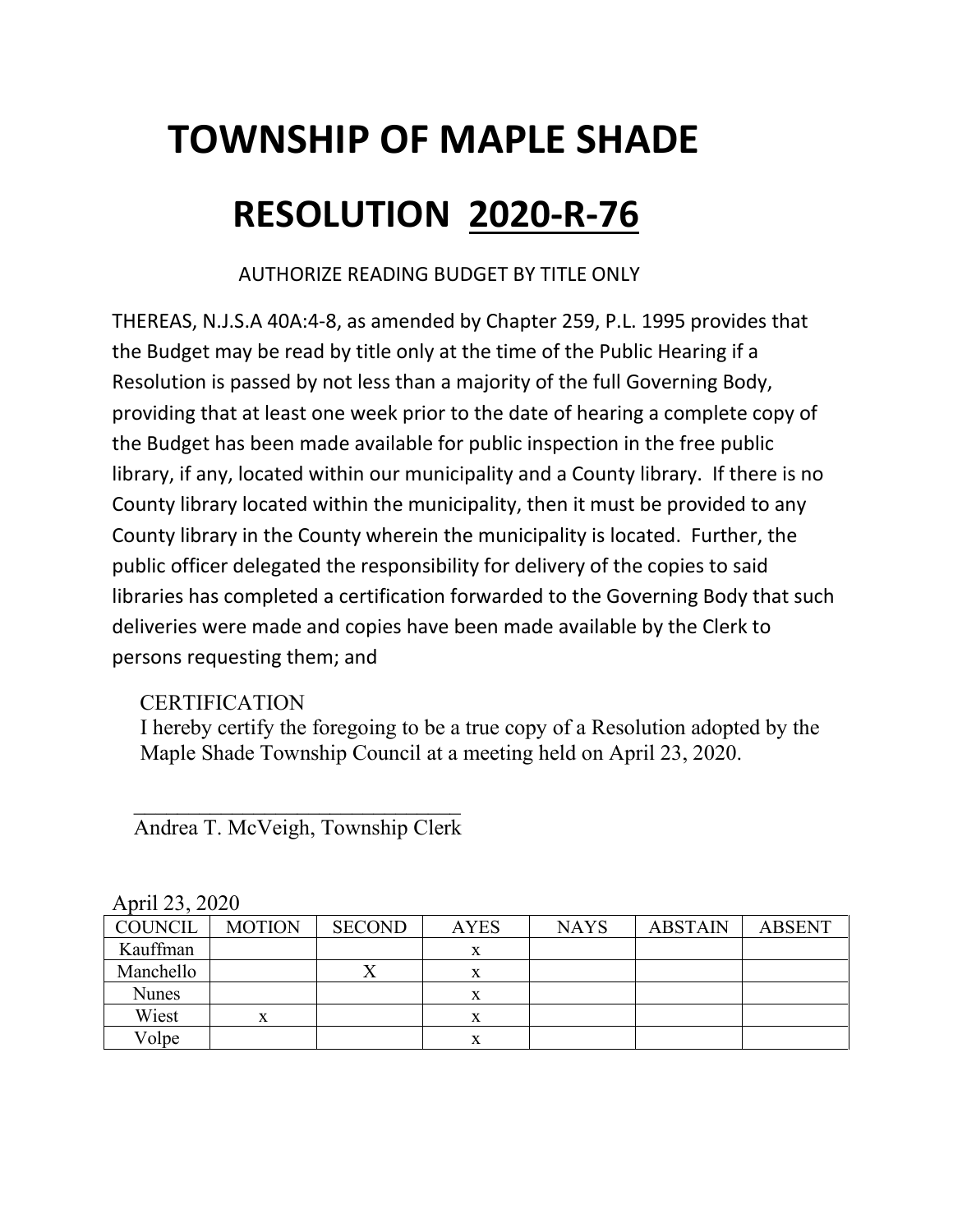# **TOWNSHIP OF MAPLE SHADE RESOLUTION 2020-R-76**

AUTHORIZE READING BUDGET BY TITLE ONLY

THEREAS, N.J.S.A 40A:4-8, as amended by Chapter 259, P.L. 1995 provides that the Budget may be read by title only at the time of the Public Hearing if a Resolution is passed by not less than a majority of the full Governing Body, providing that at least one week prior to the date of hearing a complete copy of the Budget has been made available for public inspection in the free public library, if any, located within our municipality and a County library. If there is no County library located within the municipality, then it must be provided to any County library in the County wherein the municipality is located. Further, the public officer delegated the responsibility for delivery of the copies to said libraries has completed a certification forwarded to the Governing Body that such deliveries were made and copies have been made available by the Clerk to persons requesting them; and

### **CERTIFICATION**

I hereby certify the foregoing to be a true copy of a Resolution adopted by the Maple Shade Township Council at a meeting held on April 23, 2020.

| April 23, 2020 |               |               |             |             |                |               |  |
|----------------|---------------|---------------|-------------|-------------|----------------|---------------|--|
| <b>COUNCIL</b> | <b>MOTION</b> | <b>SECOND</b> | <b>AYES</b> | <b>NAYS</b> | <b>ABSTAIN</b> | <b>ABSENT</b> |  |
| Kauffman       |               |               | X           |             |                |               |  |
| Manchello      |               | $\Lambda$     | x           |             |                |               |  |
| <b>Nunes</b>   |               |               | X           |             |                |               |  |
| Wiest          | X             |               | X           |             |                |               |  |
| Volpe          |               |               | x           |             |                |               |  |

 $\overline{\phantom{a}}$  ,  $\overline{\phantom{a}}$  ,  $\overline{\phantom{a}}$  ,  $\overline{\phantom{a}}$  ,  $\overline{\phantom{a}}$  ,  $\overline{\phantom{a}}$  ,  $\overline{\phantom{a}}$  ,  $\overline{\phantom{a}}$  ,  $\overline{\phantom{a}}$  ,  $\overline{\phantom{a}}$  ,  $\overline{\phantom{a}}$  ,  $\overline{\phantom{a}}$  ,  $\overline{\phantom{a}}$  ,  $\overline{\phantom{a}}$  ,  $\overline{\phantom{a}}$  ,  $\overline{\phantom{a}}$ Andrea T. McVeigh, Township Clerk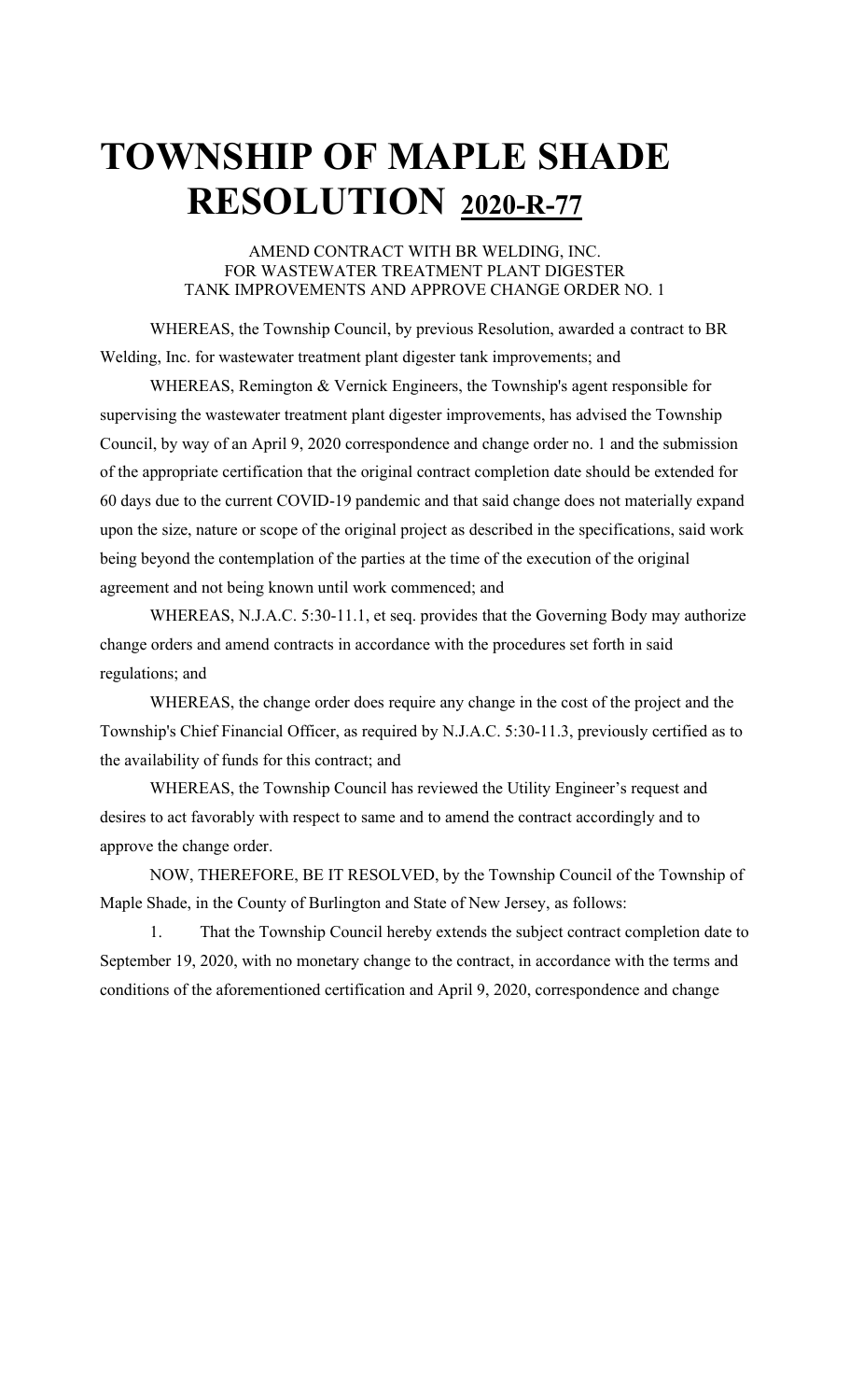### **TOWNSHIP OF MAPLE SHADE RESOLUTION 2020-R-77**

AMEND CONTRACT WITH BR WELDING, INC. FOR WASTEWATER TREATMENT PLANT DIGESTER TANK IMPROVEMENTS AND APPROVE CHANGE ORDER NO. 1

WHEREAS, the Township Council, by previous Resolution, awarded a contract to BR Welding, Inc. for wastewater treatment plant digester tank improvements; and

WHEREAS, Remington & Vernick Engineers, the Township's agent responsible for supervising the wastewater treatment plant digester improvements, has advised the Township Council, by way of an April 9, 2020 correspondence and change order no. 1 and the submission of the appropriate certification that the original contract completion date should be extended for 60 days due to the current COVID-19 pandemic and that said change does not materially expand upon the size, nature or scope of the original project as described in the specifications, said work being beyond the contemplation of the parties at the time of the execution of the original agreement and not being known until work commenced; and

WHEREAS, N.J.A.C. 5:30-11.1, et seq. provides that the Governing Body may authorize change orders and amend contracts in accordance with the procedures set forth in said regulations; and

WHEREAS, the change order does require any change in the cost of the project and the Township's Chief Financial Officer, as required by N.J.A.C. 5:30-11.3, previously certified as to the availability of funds for this contract; and

WHEREAS, the Township Council has reviewed the Utility Engineer's request and desires to act favorably with respect to same and to amend the contract accordingly and to approve the change order.

NOW, THEREFORE, BE IT RESOLVED, by the Township Council of the Township of Maple Shade, in the County of Burlington and State of New Jersey, as follows:

1. That the Township Council hereby extends the subject contract completion date to September 19, 2020, with no monetary change to the contract, in accordance with the terms and conditions of the aforementioned certification and April 9, 2020, correspondence and change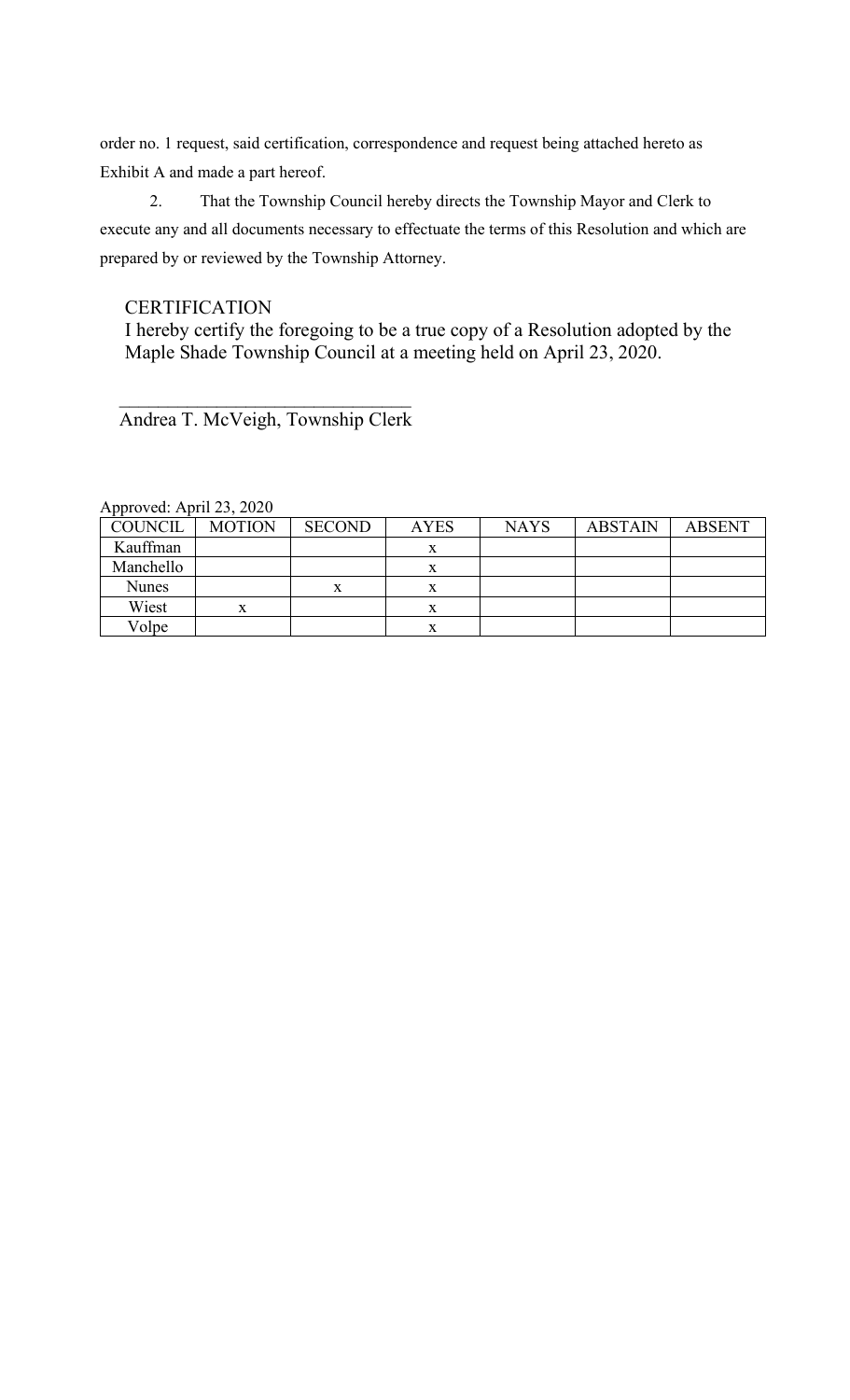order no. 1 request, said certification, correspondence and request being attached hereto as Exhibit A and made a part hereof.

2. That the Township Council hereby directs the Township Mayor and Clerk to execute any and all documents necessary to effectuate the terms of this Resolution and which are prepared by or reviewed by the Township Attorney.

### **CERTIFICATION**

I hereby certify the foregoing to be a true copy of a Resolution adopted by the Maple Shade Township Council at a meeting held on April 23, 2020.

Andrea T. McVeigh, Township Clerk

 $\overline{\phantom{a}}$  ,  $\overline{\phantom{a}}$  ,  $\overline{\phantom{a}}$  ,  $\overline{\phantom{a}}$  ,  $\overline{\phantom{a}}$  ,  $\overline{\phantom{a}}$  ,  $\overline{\phantom{a}}$  ,  $\overline{\phantom{a}}$  ,  $\overline{\phantom{a}}$  ,  $\overline{\phantom{a}}$  ,  $\overline{\phantom{a}}$  ,  $\overline{\phantom{a}}$  ,  $\overline{\phantom{a}}$  ,  $\overline{\phantom{a}}$  ,  $\overline{\phantom{a}}$  ,  $\overline{\phantom{a}}$ 

| $1$ upproved. Tiplit $25, 2020$ |               |               |             |             |                |               |
|---------------------------------|---------------|---------------|-------------|-------------|----------------|---------------|
| COUNCIL                         | <b>MOTION</b> | <b>SECOND</b> | <b>AYES</b> | <b>NAYS</b> | <b>ABSTAIN</b> | <b>ABSENT</b> |
| Kauffman                        |               |               | л           |             |                |               |
| Manchello                       |               |               |             |             |                |               |
| <b>Nunes</b>                    |               |               |             |             |                |               |
| Wiest                           | x             |               |             |             |                |               |
| Volpe                           |               |               | x           |             |                |               |

Approved: April 23, 2020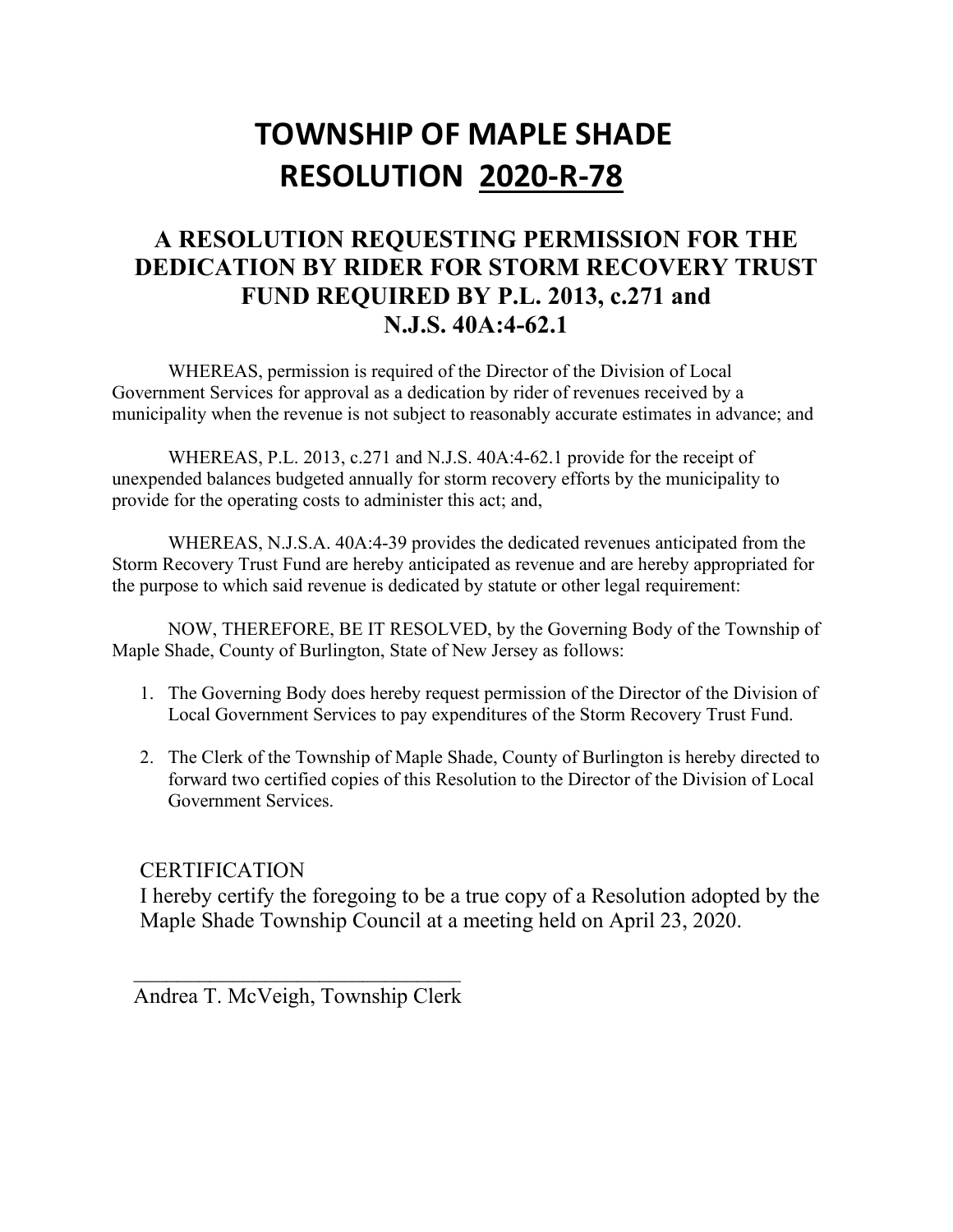### **TOWNSHIP OF MAPLE SHADE RESOLUTION 2020-R-78**

### **A RESOLUTION REQUESTING PERMISSION FOR THE DEDICATION BY RIDER FOR STORM RECOVERY TRUST FUND REQUIRED BY P.L. 2013, c.271 and N.J.S. 40A:4-62.1**

WHEREAS, permission is required of the Director of the Division of Local Government Services for approval as a dedication by rider of revenues received by a municipality when the revenue is not subject to reasonably accurate estimates in advance; and

WHEREAS, P.L. 2013, c.271 and N.J.S. 40A:4-62.1 provide for the receipt of unexpended balances budgeted annually for storm recovery efforts by the municipality to provide for the operating costs to administer this act; and,

WHEREAS, N.J.S.A. 40A:4-39 provides the dedicated revenues anticipated from the Storm Recovery Trust Fund are hereby anticipated as revenue and are hereby appropriated for the purpose to which said revenue is dedicated by statute or other legal requirement:

NOW, THEREFORE, BE IT RESOLVED, by the Governing Body of the Township of Maple Shade, County of Burlington, State of New Jersey as follows:

- 1. The Governing Body does hereby request permission of the Director of the Division of Local Government Services to pay expenditures of the Storm Recovery Trust Fund.
- 2. The Clerk of the Township of Maple Shade, County of Burlington is hereby directed to forward two certified copies of this Resolution to the Director of the Division of Local Government Services.

### **CERTIFICATION**

I hereby certify the foregoing to be a true copy of a Resolution adopted by the Maple Shade Township Council at a meeting held on April 23, 2020.

Andrea T. McVeigh, Township Clerk

 $\overline{\phantom{a}}$  ,  $\overline{\phantom{a}}$  ,  $\overline{\phantom{a}}$  ,  $\overline{\phantom{a}}$  ,  $\overline{\phantom{a}}$  ,  $\overline{\phantom{a}}$  ,  $\overline{\phantom{a}}$  ,  $\overline{\phantom{a}}$  ,  $\overline{\phantom{a}}$  ,  $\overline{\phantom{a}}$  ,  $\overline{\phantom{a}}$  ,  $\overline{\phantom{a}}$  ,  $\overline{\phantom{a}}$  ,  $\overline{\phantom{a}}$  ,  $\overline{\phantom{a}}$  ,  $\overline{\phantom{a}}$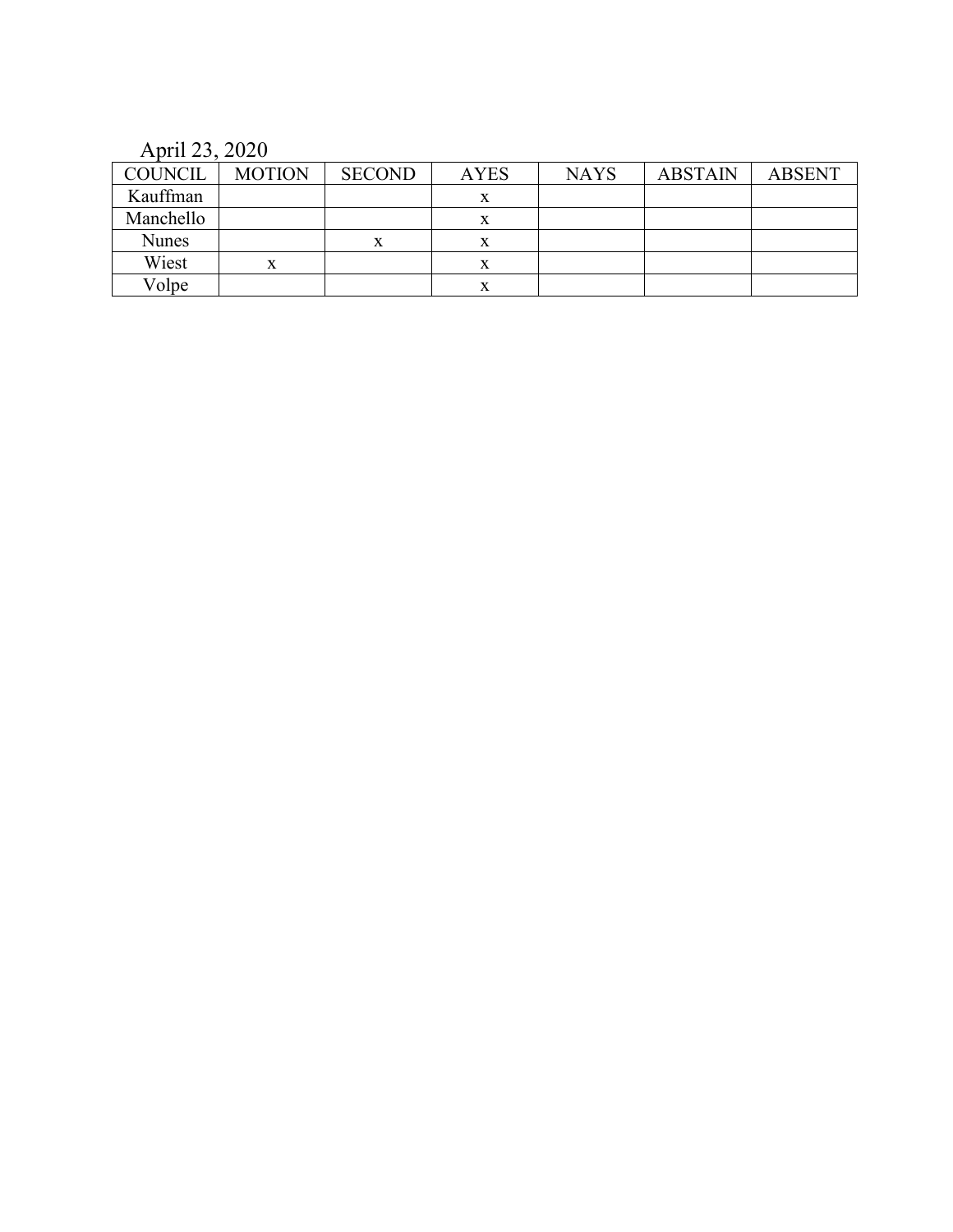April 23, 2020

| <b>COUNCIL</b> | <b>MOTION</b> | <b>SECOND</b> | <b>AYES</b> | <b>NAYS</b> | <b>ABSTAIN</b> | <b>ABSENT</b> |
|----------------|---------------|---------------|-------------|-------------|----------------|---------------|
| Kauffman       |               |               | v<br>л      |             |                |               |
| Manchello      |               |               | x           |             |                |               |
| <b>Nunes</b>   |               |               | л           |             |                |               |
| Wiest          | x             |               | л           |             |                |               |
| Volpe          |               |               | л           |             |                |               |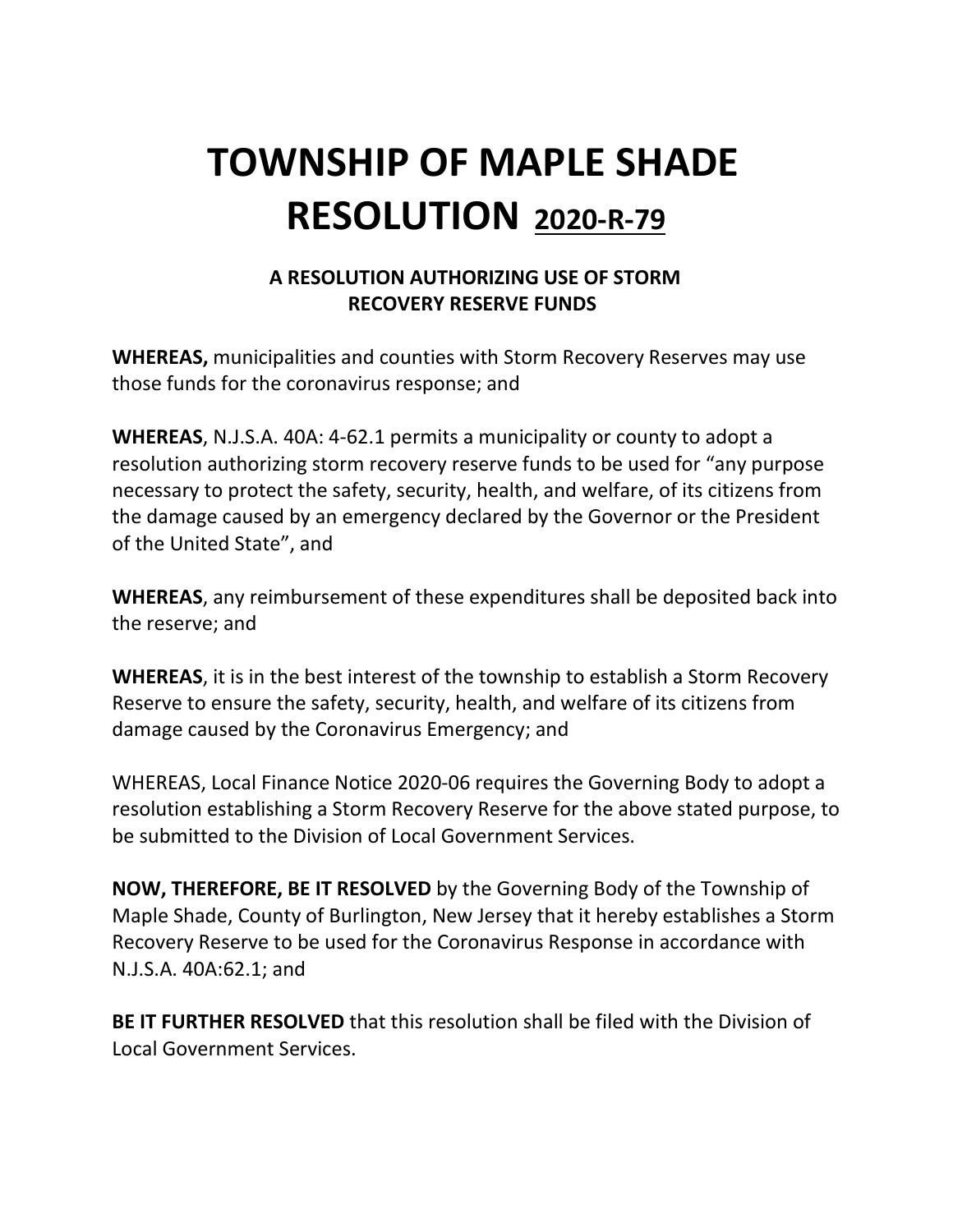## **TOWNSHIP OF MAPLE SHADE RESOLUTION 2020-R-79**

### **A RESOLUTION AUTHORIZING USE OF STORM RECOVERY RESERVE FUNDS**

**WHEREAS,** municipalities and counties with Storm Recovery Reserves may use those funds for the coronavirus response; and

**WHEREAS**, N.J.S.A. 40A: 4-62.1 permits a municipality or county to adopt a resolution authorizing storm recovery reserve funds to be used for "any purpose necessary to protect the safety, security, health, and welfare, of its citizens from the damage caused by an emergency declared by the Governor or the President of the United State", and

**WHEREAS**, any reimbursement of these expenditures shall be deposited back into the reserve; and

**WHEREAS**, it is in the best interest of the township to establish a Storm Recovery Reserve to ensure the safety, security, health, and welfare of its citizens from damage caused by the Coronavirus Emergency; and

WHEREAS, Local Finance Notice 2020-06 requires the Governing Body to adopt a resolution establishing a Storm Recovery Reserve for the above stated purpose, to be submitted to the Division of Local Government Services.

**NOW, THEREFORE, BE IT RESOLVED** by the Governing Body of the Township of Maple Shade, County of Burlington, New Jersey that it hereby establishes a Storm Recovery Reserve to be used for the Coronavirus Response in accordance with N.J.S.A. 40A:62.1; and

**BE IT FURTHER RESOLVED** that this resolution shall be filed with the Division of Local Government Services.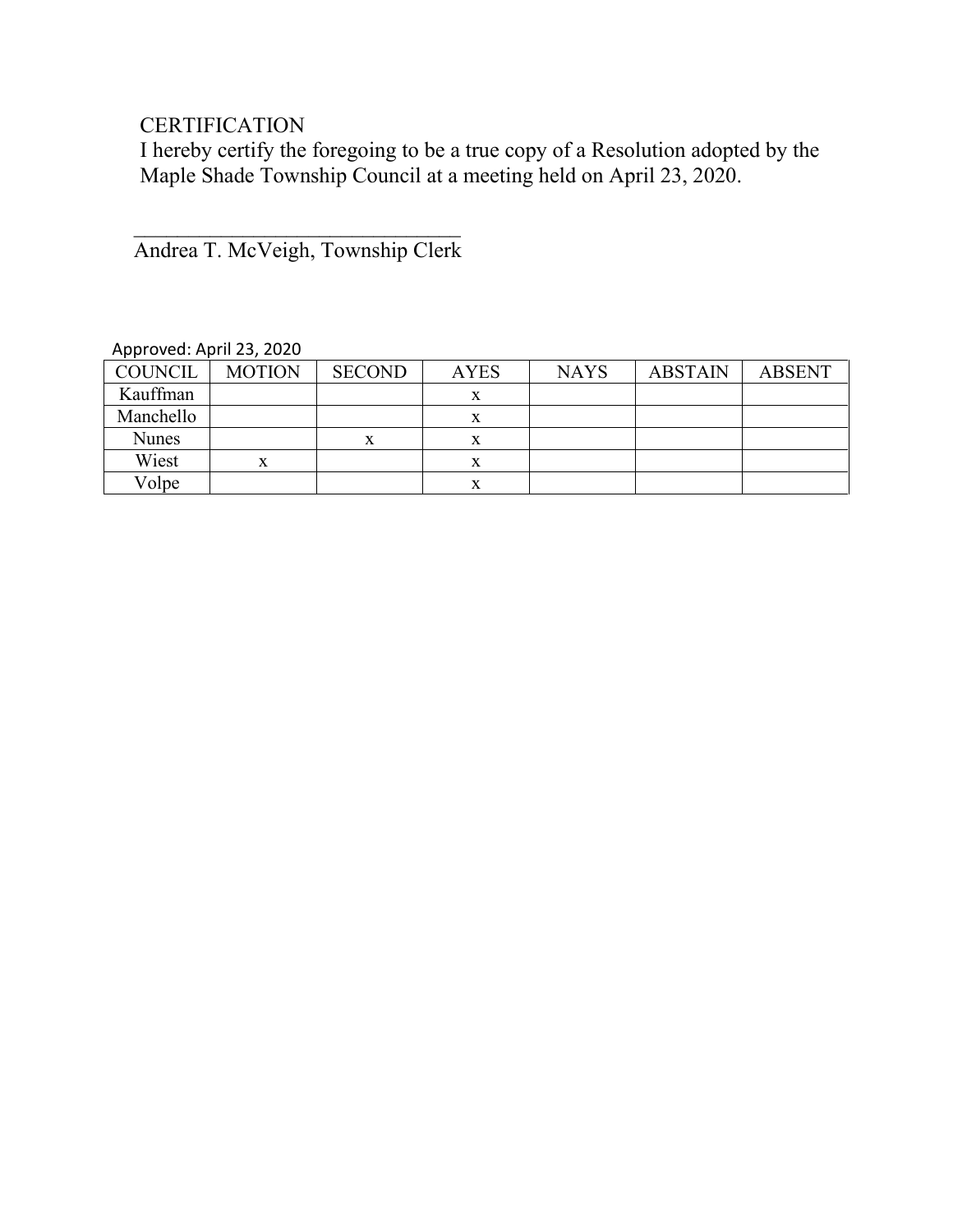### **CERTIFICATION**

I hereby certify the foregoing to be a true copy of a Resolution adopted by the Maple Shade Township Council at a meeting held on April 23, 2020.

 $\overline{\phantom{a}}$  ,  $\overline{\phantom{a}}$  ,  $\overline{\phantom{a}}$  ,  $\overline{\phantom{a}}$  ,  $\overline{\phantom{a}}$  ,  $\overline{\phantom{a}}$  ,  $\overline{\phantom{a}}$  ,  $\overline{\phantom{a}}$  ,  $\overline{\phantom{a}}$  ,  $\overline{\phantom{a}}$  ,  $\overline{\phantom{a}}$  ,  $\overline{\phantom{a}}$  ,  $\overline{\phantom{a}}$  ,  $\overline{\phantom{a}}$  ,  $\overline{\phantom{a}}$  ,  $\overline{\phantom{a}}$ Andrea T. McVeigh, Township Clerk

| <b>COUNCIL</b> | <b>MOTION</b> | <b>SECOND</b> | <b>AYES</b> | <b>NAYS</b> | <b>ABSTAIN</b> | <b>ABSENT</b> |
|----------------|---------------|---------------|-------------|-------------|----------------|---------------|
| Kauffman       |               |               |             |             |                |               |
| Manchello      |               |               |             |             |                |               |
| <b>Nunes</b>   |               | x             |             |             |                |               |
| Wiest          |               |               |             |             |                |               |
| Volpe          |               |               |             |             |                |               |

#### Approved: April 23, 2020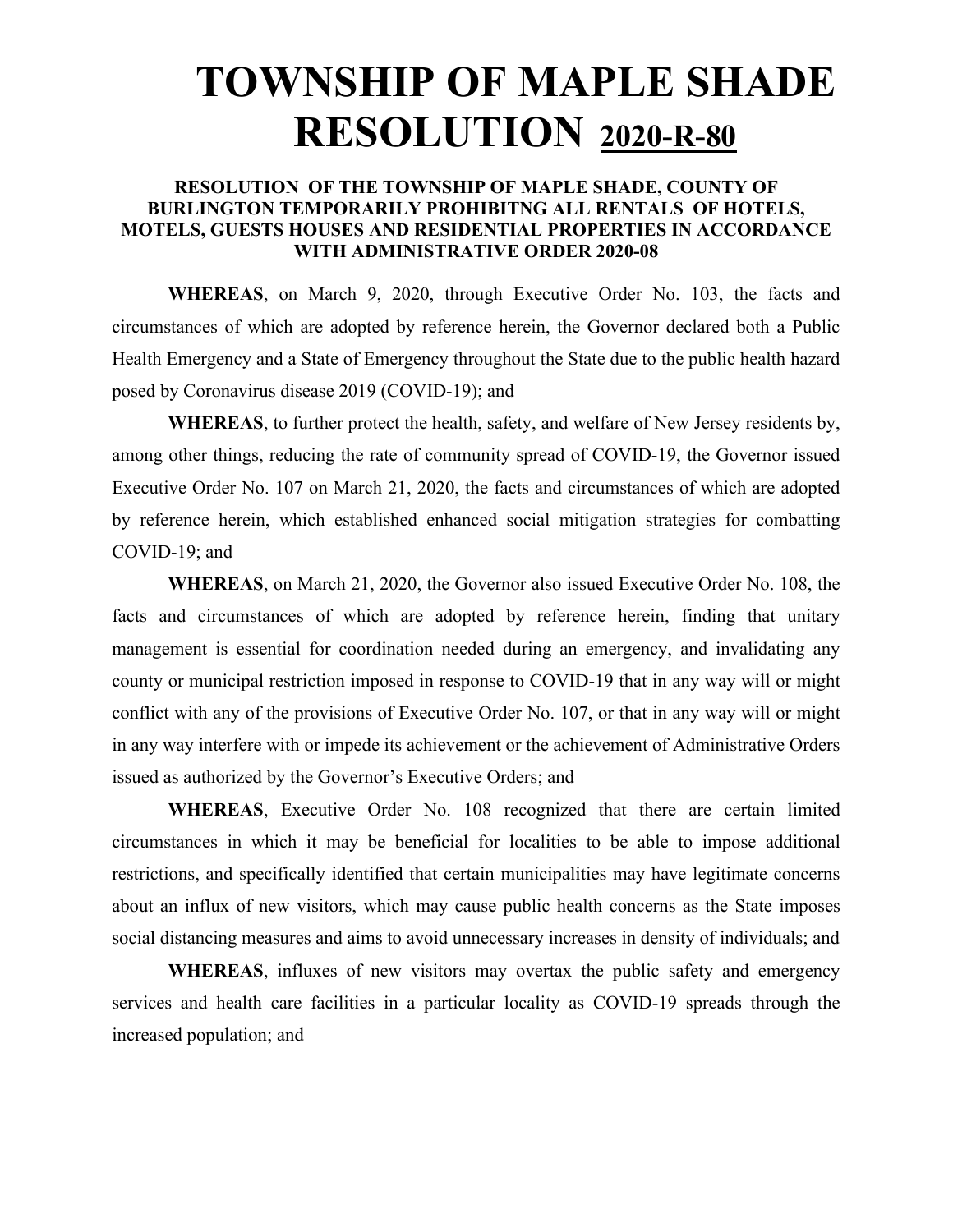### **TOWNSHIP OF MAPLE SHADE RESOLUTION 2020-R-80**

#### **RESOLUTION OF THE TOWNSHIP OF MAPLE SHADE, COUNTY OF BURLINGTON TEMPORARILY PROHIBITNG ALL RENTALS OF HOTELS, MOTELS, GUESTS HOUSES AND RESIDENTIAL PROPERTIES IN ACCORDANCE WITH ADMINISTRATIVE ORDER 2020-08**

**WHEREAS**, on March 9, 2020, through Executive Order No. 103, the facts and circumstances of which are adopted by reference herein, the Governor declared both a Public Health Emergency and a State of Emergency throughout the State due to the public health hazard posed by Coronavirus disease 2019 (COVID-19); and

**WHEREAS**, to further protect the health, safety, and welfare of New Jersey residents by, among other things, reducing the rate of community spread of COVID-19, the Governor issued Executive Order No. 107 on March 21, 2020, the facts and circumstances of which are adopted by reference herein, which established enhanced social mitigation strategies for combatting COVID-19; and

**WHEREAS**, on March 21, 2020, the Governor also issued Executive Order No. 108, the facts and circumstances of which are adopted by reference herein, finding that unitary management is essential for coordination needed during an emergency, and invalidating any county or municipal restriction imposed in response to COVID-19 that in any way will or might conflict with any of the provisions of Executive Order No. 107, or that in any way will or might in any way interfere with or impede its achievement or the achievement of Administrative Orders issued as authorized by the Governor's Executive Orders; and

**WHEREAS**, Executive Order No. 108 recognized that there are certain limited circumstances in which it may be beneficial for localities to be able to impose additional restrictions, and specifically identified that certain municipalities may have legitimate concerns about an influx of new visitors, which may cause public health concerns as the State imposes social distancing measures and aims to avoid unnecessary increases in density of individuals; and

**WHEREAS**, influxes of new visitors may overtax the public safety and emergency services and health care facilities in a particular locality as COVID-19 spreads through the increased population; and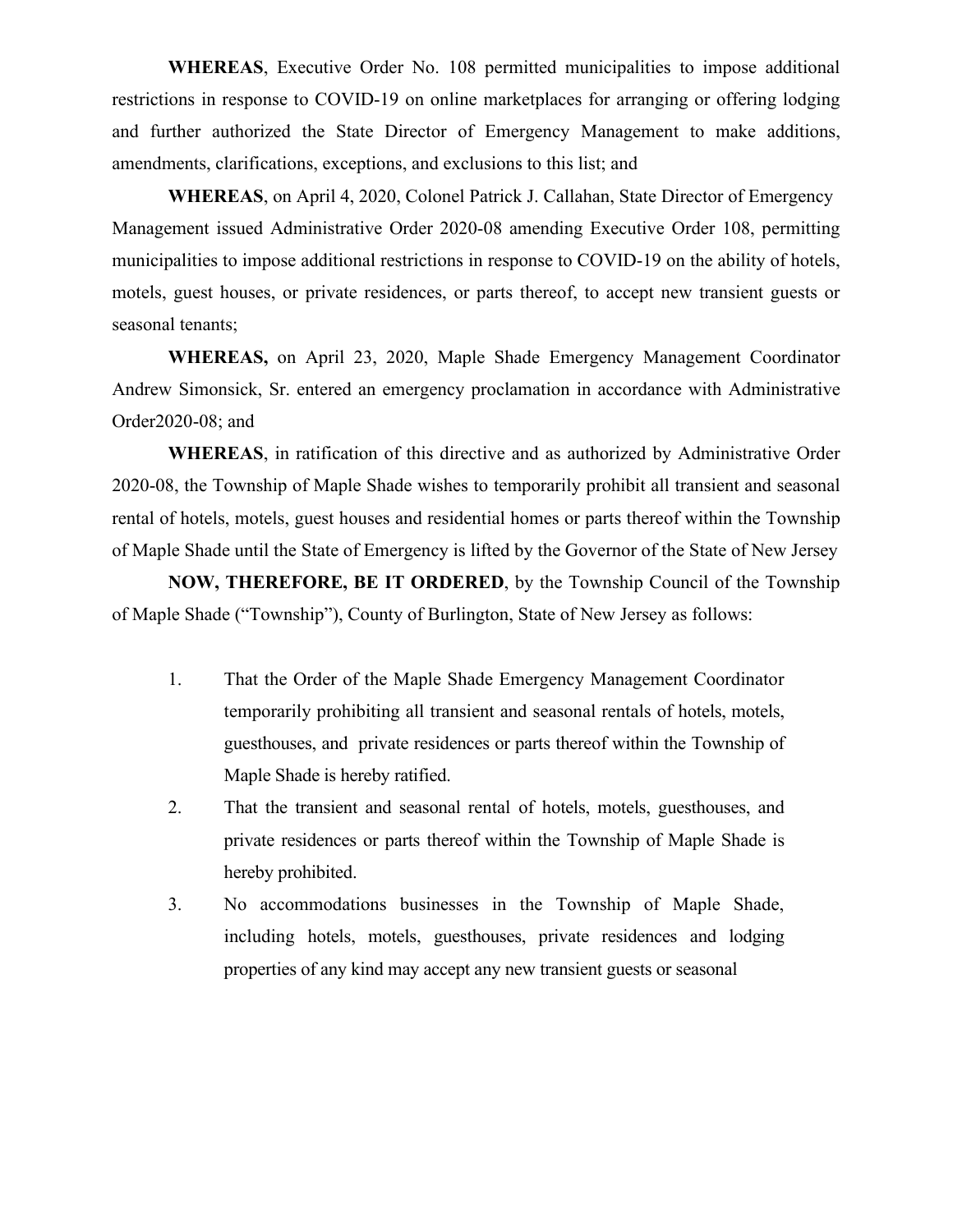**WHEREAS**, Executive Order No. 108 permitted municipalities to impose additional restrictions in response to COVID-19 on online marketplaces for arranging or offering lodging and further authorized the State Director of Emergency Management to make additions, amendments, clarifications, exceptions, and exclusions to this list; and

**WHEREAS**, on April 4, 2020, Colonel Patrick J. Callahan, State Director of Emergency Management issued Administrative Order 2020-08 amending Executive Order 108, permitting municipalities to impose additional restrictions in response to COVID-19 on the ability of hotels, motels, guest houses, or private residences, or parts thereof, to accept new transient guests or seasonal tenants;

**WHEREAS,** on April 23, 2020, Maple Shade Emergency Management Coordinator Andrew Simonsick, Sr. entered an emergency proclamation in accordance with Administrative Order2020-08; and

**WHEREAS**, in ratification of this directive and as authorized by Administrative Order 2020-08, the Township of Maple Shade wishes to temporarily prohibit all transient and seasonal rental of hotels, motels, guest houses and residential homes or parts thereof within the Township of Maple Shade until the State of Emergency is lifted by the Governor of the State of New Jersey

**NOW, THEREFORE, BE IT ORDERED**, by the Township Council of the Township of Maple Shade ("Township"), County of Burlington, State of New Jersey as follows:

- 1. That the Order of the Maple Shade Emergency Management Coordinator temporarily prohibiting all transient and seasonal rentals of hotels, motels, guesthouses, and private residences or parts thereof within the Township of Maple Shade is hereby ratified.
- 2. That the transient and seasonal rental of hotels, motels, guesthouses, and private residences or parts thereof within the Township of Maple Shade is hereby prohibited.
- 3. No accommodations businesses in the Township of Maple Shade, including hotels, motels, guesthouses, private residences and lodging properties of any kind may accept any new transient guests or seasonal